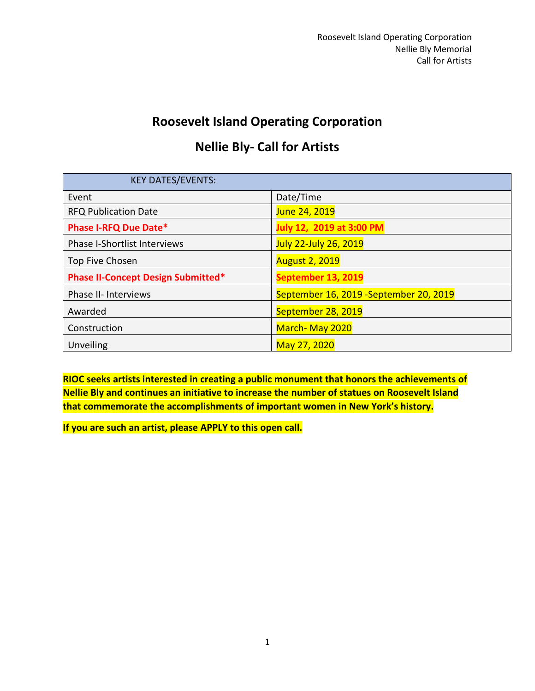# **Roosevelt Island Operating Corporation**

# **Nellie Bly- Call for Artists**

| <b>KEY DATES/EVENTS:</b>                  |                                         |
|-------------------------------------------|-----------------------------------------|
| Event                                     | Date/Time                               |
| <b>RFQ Publication Date</b>               | June 24, 2019                           |
| <b>Phase I-RFQ Due Date*</b>              | July 12, 2019 at 3:00 PM                |
| <b>Phase I-Shortlist Interviews</b>       | <b>July 22-July 26, 2019</b>            |
| Top Five Chosen                           | <b>August 2, 2019</b>                   |
| <b>Phase II-Concept Design Submitted*</b> | September 13, 2019                      |
| Phase II- Interviews                      | September 16, 2019 - September 20, 2019 |
| Awarded                                   | September 28, 2019                      |
| Construction                              | March-May 2020                          |
| Unveiling                                 | May 27, 2020                            |

**RIOC seeks artists interested in creating a public monument that honors the achievements of Nellie Bly and continues an initiative to increase the number of statues on Roosevelt Island that commemorate the accomplishments of important women in New York's history.** 

**If you are such an artist, please APPLY to this open call.**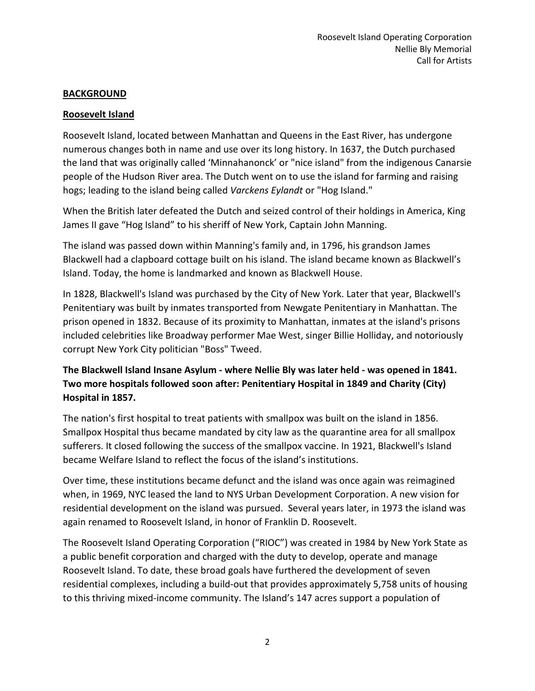# **BACKGROUND**

#### **Roosevelt Island**

Roosevelt Island, located between Manhattan and Queens in the East River, has undergone numerous changes both in name and use over its long history. In 1637, the Dutch purchased the land that was originally called 'Minnahanonck' or "nice island" from the indigenous Canarsie people of the Hudson River area. The Dutch went on to use the island for farming and raising hogs; leading to the island being called *Varckens Eylandt* or "Hog Island."

When the British later defeated the Dutch and seized control of their holdings in America, King James II gave "Hog Island" to his sheriff of New York, Captain John Manning.

The island was passed down within Manning's family and, in 1796, his grandson James Blackwell had a clapboard cottage built on his island. The island became known as Blackwell's Island. Today, the home is landmarked and known as Blackwell House.

In 1828, Blackwell's Island was purchased by the City of New York. Later that year, Blackwell's Penitentiary was built by inmates transported from Newgate Penitentiary in Manhattan. The prison opened in 1832. Because of its proximity to Manhattan, inmates at the island's prisons included celebrities like Broadway performer Mae West, singer Billie Holliday, and notoriously corrupt New York City politician "Boss" Tweed.

# **The Blackwell Island Insane Asylum - where Nellie Bly was later held - was opened in 1841. Two more hospitals followed soon after: Penitentiary Hospital in 1849 and Charity (City) Hospital in 1857.**

The nation's first hospital to treat patients with smallpox was built on the island in 1856. Smallpox Hospital thus became mandated by city law as the quarantine area for all smallpox sufferers. It closed following the success of the smallpox vaccine. In 1921, Blackwell's Island became Welfare Island to reflect the focus of the island's institutions.

Over time, these institutions became defunct and the island was once again was reimagined when, in 1969, NYC leased the land to NYS Urban Development Corporation. A new vision for residential development on the island was pursued. Several years later, in 1973 the island was again renamed to Roosevelt Island, in honor of Franklin D. Roosevelt.

The Roosevelt Island Operating Corporation ("RIOC") was created in 1984 by New York State as a public benefit corporation and charged with the duty to develop, operate and manage Roosevelt Island. To date, these broad goals have furthered the development of seven residential complexes, including a build-out that provides approximately 5,758 units of housing to this thriving mixed-income community. The Island's 147 acres support a population of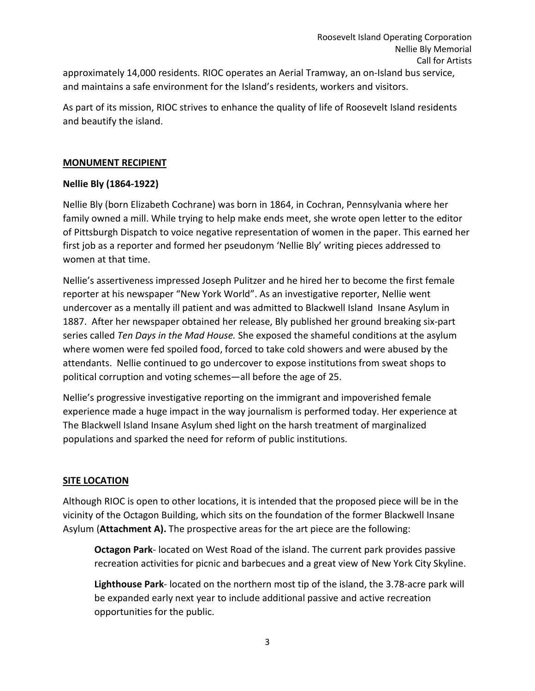approximately 14,000 residents. RIOC operates an Aerial Tramway, an on-Island bus service, and maintains a safe environment for the Island's residents, workers and visitors.

As part of its mission, RIOC strives to enhance the quality of life of Roosevelt Island residents and beautify the island.

#### **MONUMENT RECIPIENT**

#### **Nellie Bly (1864-1922)**

Nellie Bly (born Elizabeth Cochrane) was born in 1864, in Cochran, Pennsylvania where her family owned a mill. While trying to help make ends meet, she wrote open letter to the editor of Pittsburgh Dispatch to voice negative representation of women in the paper. This earned her first job as a reporter and formed her pseudonym 'Nellie Bly' writing pieces addressed to women at that time.

Nellie's assertiveness impressed Joseph Pulitzer and he hired her to become the first female reporter at his newspaper "New York World". As an investigative reporter, Nellie went undercover as a mentally ill patient and was admitted to Blackwell Island Insane Asylum in 1887. After her newspaper obtained her release, Bly published her ground breaking six-part series called *Ten Days in the Mad House.* She exposed the shameful conditions at the asylum where women were fed spoiled food, forced to take cold showers and were abused by the attendants. Nellie continued to go undercover to expose institutions from sweat shops to political corruption and voting schemes—all before the age of 25.

Nellie's progressive investigative reporting on the immigrant and impoverished female experience made a huge impact in the way journalism is performed today. Her experience at The Blackwell Island Insane Asylum shed light on the harsh treatment of marginalized populations and sparked the need for reform of public institutions.

# **SITE LOCATION**

Although RIOC is open to other locations, it is intended that the proposed piece will be in the vicinity of the Octagon Building, which sits on the foundation of the former Blackwell Insane Asylum (**Attachment A).** The prospective areas for the art piece are the following:

**Octagon Park**- located on West Road of the island. The current park provides passive recreation activities for picnic and barbecues and a great view of New York City Skyline.

**Lighthouse Park**- located on the northern most tip of the island, the 3.78-acre park will be expanded early next year to include additional passive and active recreation opportunities for the public.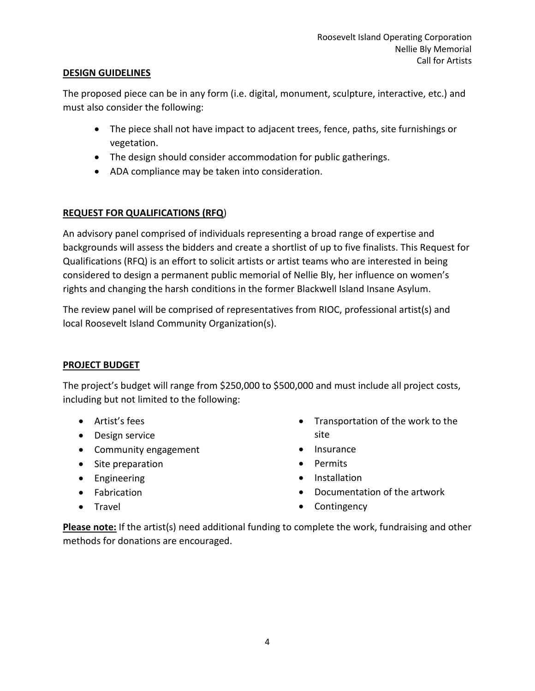#### **DESIGN GUIDELINES**

The proposed piece can be in any form (i.e. digital, monument, sculpture, interactive, etc.) and must also consider the following:

- The piece shall not have impact to adjacent trees, fence, paths, site furnishings or vegetation.
- The design should consider accommodation for public gatherings.
- ADA compliance may be taken into consideration.

# **REQUEST FOR QUALIFICATIONS (RFQ**)

An advisory panel comprised of individuals representing a broad range of expertise and backgrounds will assess the bidders and create a shortlist of up to five finalists. This Request for Qualifications (RFQ) is an effort to solicit artists or artist teams who are interested in being considered to design a permanent public memorial of Nellie Bly, her influence on women's rights and changing the harsh conditions in the former Blackwell Island Insane Asylum.

The review panel will be comprised of representatives from RIOC, professional artist(s) and local Roosevelt Island Community Organization(s).

# **PROJECT BUDGET**

The project's budget will range from \$250,000 to \$500,000 and must include all project costs, including but not limited to the following:

- Artist's fees
- Design service
- Community engagement
- Site preparation
- Engineering
- Fabrication
- Travel
- Transportation of the work to the site
- Insurance
- Permits
- Installation
- Documentation of the artwork
- Contingency

**Please note:** If the artist(s) need additional funding to complete the work, fundraising and other methods for donations are encouraged.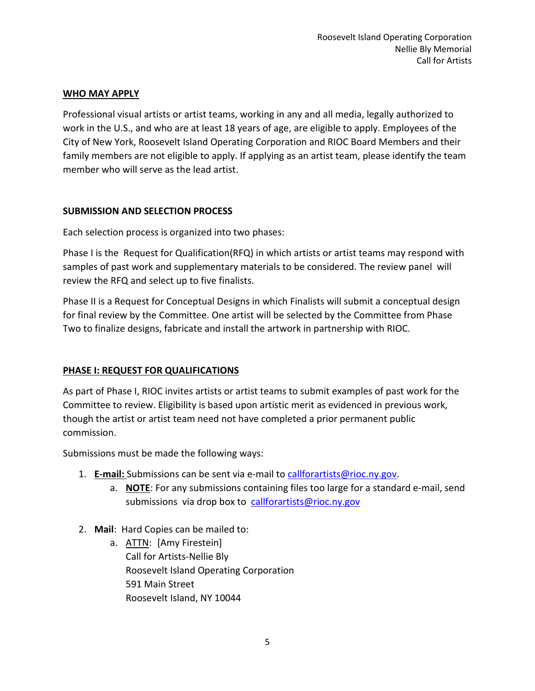#### **WHO MAY APPLY**

Professional visual artists or artist teams, working in any and all media, legally authorized to work in the U.S., and who are at least 18 years of age, are eligible to apply. Employees of the City of New York, Roosevelt Island Operating Corporation and RIOC Board Members and their family members are not eligible to apply. If applying as an artist team, please identify the team member who will serve as the lead artist.

#### **SUBMISSION AND SELECTION PROCESS**

Each selection process is organized into two phases:

Phase I is the Request for Qualification(RFQ) in which artists or artist teams may respond with samples of past work and supplementary materials to be considered. The review panel will review the RFQ and select up to five finalists.

Phase II is a Request for Conceptual Designs in which Finalists will submit a conceptual design for final review by the Committee. One artist will be selected by the Committee from Phase Two to finalize designs, fabricate and install the artwork in partnership with RIOC.

# **PHASE I: REQUEST FOR QUALIFICATIONS**

As part of Phase I, RIOC invites artists or artist teams to submit examples of past work for the Committee to review. Eligibility is based upon artistic merit as evidenced in previous work, though the artist or artist team need not have completed a prior permanent public commission.

Submissions must be made the following ways:

- 1. **E-mail:** Submissions can be sent via e-mail to [callforartists@rioc.ny.gov.](mailto:callforartists@rioc.ny.gov)
	- a. **NOTE**: For any submissions containing files too large for a standard e-mail, send submissions via drop box to [callforartists@rioc.ny.gov](mailto:callforartists@rioc.ny.gov)
- 2. **Mail**: Hard Copies can be mailed to:
	- a. **ATTN:** [Amy Firestein] Call for Artists-Nellie Bly Roosevelt Island Operating Corporation 591 Main Street Roosevelt Island, NY 10044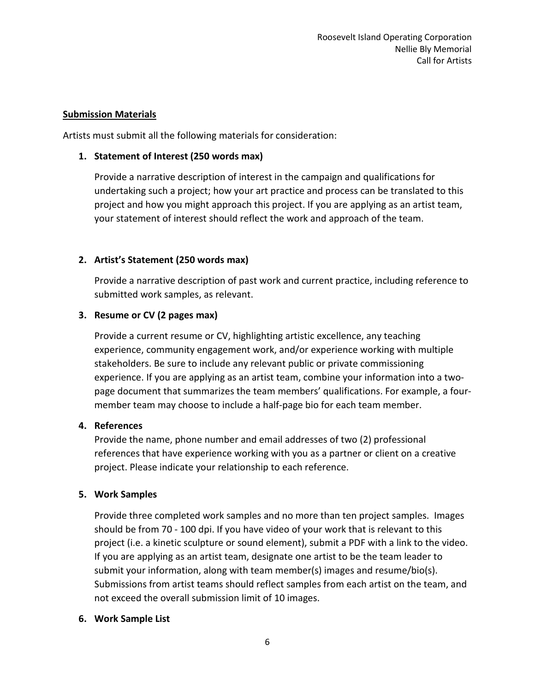#### **Submission Materials**

Artists must submit all the following materials for consideration:

#### **1. Statement of Interest (250 words max)**

Provide a narrative description of interest in the campaign and qualifications for undertaking such a project; how your art practice and process can be translated to this project and how you might approach this project. If you are applying as an artist team, your statement of interest should reflect the work and approach of the team.

# **2. Artist's Statement (250 words max)**

Provide a narrative description of past work and current practice, including reference to submitted work samples, as relevant.

# **3. Resume or CV (2 pages max)**

Provide a current resume or CV, highlighting artistic excellence, any teaching experience, community engagement work, and/or experience working with multiple stakeholders. Be sure to include any relevant public or private commissioning experience. If you are applying as an artist team, combine your information into a twopage document that summarizes the team members' qualifications. For example, a fourmember team may choose to include a half-page bio for each team member.

#### **4. References**

Provide the name, phone number and email addresses of two (2) professional references that have experience working with you as a partner or client on a creative project. Please indicate your relationship to each reference.

# **5. Work Samples**

Provide three completed work samples and no more than ten project samples. Images should be from 70 - 100 dpi. If you have video of your work that is relevant to this project (i.e. a kinetic sculpture or sound element), submit a PDF with a link to the video. If you are applying as an artist team, designate one artist to be the team leader to submit your information, along with team member(s) images and resume/bio(s). Submissions from artist teams should reflect samples from each artist on the team, and not exceed the overall submission limit of 10 images.

# **6. Work Sample List**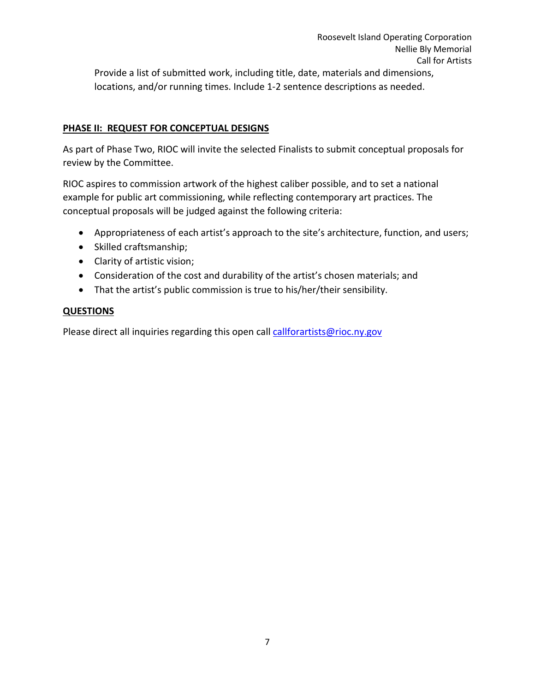Provide a list of submitted work, including title, date, materials and dimensions, locations, and/or running times. Include 1-2 sentence descriptions as needed.

#### **PHASE II: REQUEST FOR CONCEPTUAL DESIGNS**

As part of Phase Two, RIOC will invite the selected Finalists to submit conceptual proposals for review by the Committee.

RIOC aspires to commission artwork of the highest caliber possible, and to set a national example for public art commissioning, while reflecting contemporary art practices. The conceptual proposals will be judged against the following criteria:

- Appropriateness of each artist's approach to the site's architecture, function, and users;
- Skilled craftsmanship;
- Clarity of artistic vision;
- Consideration of the cost and durability of the artist's chosen materials; and
- That the artist's public commission is true to his/her/their sensibility.

#### **QUESTIONS**

Please direct all inquiries regarding this open call [callforartists@rioc.ny.gov](mailto:callforartists@rioc.ny.gov)